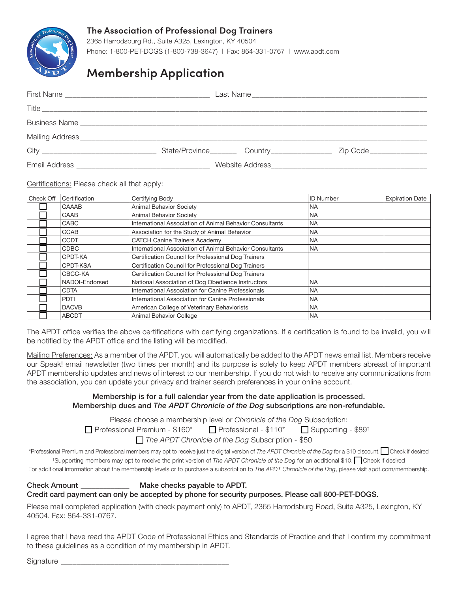

## **The Association of Professional Dog Trainers**

2365 Harrodsburg Rd., Suite A325, Lexington, KY 40504 Phone: 1-800-PET-DOGS (1-800-738-3647) | Fax: 864-331-0767 | www.apdt.com

# **Membership Application**

| Mailing Address <b>Manual Address Mailing Address</b> |                        |                           |
|-------------------------------------------------------|------------------------|---------------------------|
|                                                       | State/Province Country | Zip Code ________________ |
|                                                       |                        |                           |

### Certifications: Please check all that apply:

| Check Off | Certification  | Certifying Body                                          | <b>ID Number</b> | <b>Expiration Date</b> |
|-----------|----------------|----------------------------------------------------------|------------------|------------------------|
|           | CAAAB          | <b>Animal Behavior Society</b>                           | <b>NA</b>        |                        |
|           | CAAB           | Animal Behavior Society                                  | <b>NA</b>        |                        |
|           | <b>CABC</b>    | International Association of Animal Behavior Consultants | <b>NA</b>        |                        |
|           | <b>CCAB</b>    | Association for the Study of Animal Behavior             | <b>NA</b>        |                        |
|           | <b>CCDT</b>    | <b>CATCH Canine Trainers Academy</b>                     | <b>NA</b>        |                        |
|           | <b>CDBC</b>    | International Association of Animal Behavior Consultants | <b>NA</b>        |                        |
|           | CPDT-KA        | Certification Council for Professional Dog Trainers      |                  |                        |
|           | CPDT-KSA       | Certification Council for Professional Dog Trainers      |                  |                        |
|           | CBCC-KA        | Certification Council for Professional Dog Trainers      |                  |                        |
|           | NADOI-Endorsed | National Association of Dog Obedience Instructors        | <b>NA</b>        |                        |
|           | <b>CDTA</b>    | International Association for Canine Professionals       | NA.              |                        |
|           | <b>PDTI</b>    | International Association for Canine Professionals       | <b>NA</b>        |                        |
|           | <b>DACVB</b>   | American College of Veterinary Behaviorists              | <b>NA</b>        |                        |
|           | <b>ABCDT</b>   | Animal Behavior College                                  | <b>NA</b>        |                        |

The APDT office verifies the above certifications with certifying organizations. If a certification is found to be invalid, you will be notified by the APDT office and the listing will be modified.

Mailing Preferences: As a member of the APDT, you will automatically be added to the APDT news email list. Members receive our Speak! email newsletter (two times per month) and its purpose is solely to keep APDT members abreast of important APDT membership updates and news of interest to our membership. If you do not wish to receive any communications from the association, you can update your privacy and trainer search preferences in your online account.

### Membership is for a full calendar year from the date application is processed. Membership dues and *The APDT Chronicle of the Dog* subscriptions are non-refundable.

Please choose a membership level or *Chronicle of the Dog* Subscription:

 $\Box$  Professional Premium - \$160\*  $\Box$  Professional - \$110\*  $\Box$  Supporting - \$89<sup>†</sup>

*The APDT Chronicle of the Dog* Subscription - \$50

\*Professional Premium and Professional members may opt to receive just the digital version of *The APDT Chronicle of the Dog* for a \$10 discount. Check if desired <sup>+</sup>Supporting members may opt to receive the print version of *The APDT Chronicle of the Dog* for an additional \$10. Check if desired

For additional information about the membership levels or to purchase a subscription to *The APDT Chronicle of the Dog*, please visit apdt.com/membership.

### Check Amount \_\_\_\_\_\_\_\_\_\_\_\_\_ Make checks payable to APDT. Credit card payment can only be accepted by phone for security purposes. Please call 800-PET-DOGS.

Please mail completed application (with check payment only) to APDT, 2365 Harrodsburg Road, Suite A325, Lexington, KY 40504. Fax: 864-331-0767.

I agree that I have read the APDT Code of Professional Ethics and Standards of Practice and that I confirm my commitment to these guidelines as a condition of my membership in APDT.

Signature